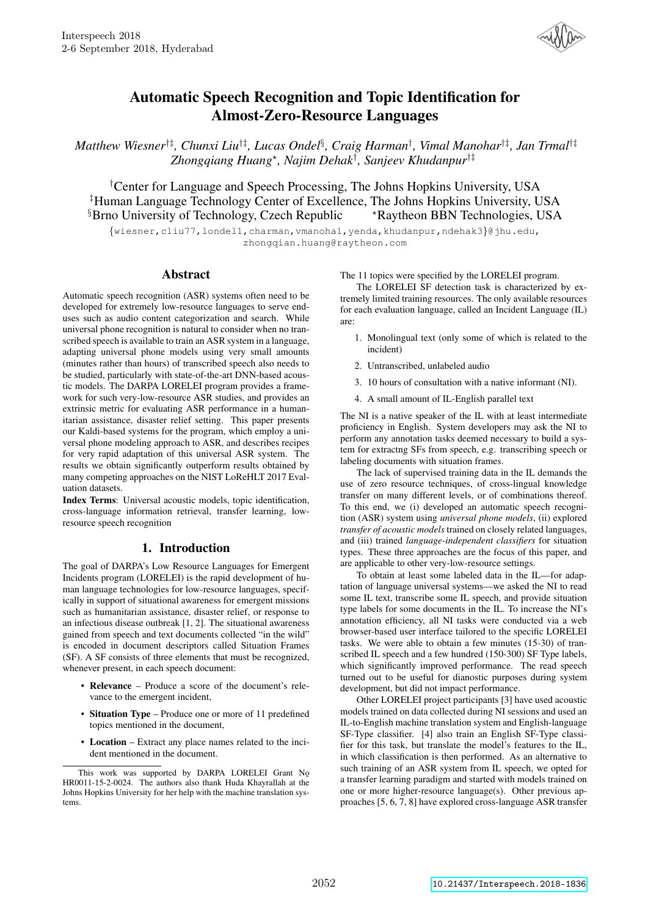

# Automatic Speech Recognition and Topic Identification for Almost-Zero-Resource Languages

*Matthew Wiesner*†‡*, Chunxi Liu*†‡*, Lucas Ondel*§ *, Craig Harman*† *, Vimal Manohar*†‡*, Jan Trmal*†‡ *Zhongqiang Huang*? *, Najim Dehak*† *, Sanjeev Khudanpur*†‡

†Center for Language and Speech Processing, The Johns Hopkins University, USA ‡Human Language Technology Center of Excellence, The Johns Hopkins University, USA  $\S$ Brno University of Technology, Czech Republic  $*$ Raytheon BBN Technologies, USA

{wiesner,cliu77,londel1,charman,vmanoha1,yenda,khudanpur,ndehak3}@jhu.edu, zhongqian.huang@raytheon.com

### Abstract

Automatic speech recognition (ASR) systems often need to be developed for extremely low-resource languages to serve enduses such as audio content categorization and search. While universal phone recognition is natural to consider when no transcribed speech is available to train an ASR system in a language, adapting universal phone models using very small amounts (minutes rather than hours) of transcribed speech also needs to be studied, particularly with state-of-the-art DNN-based acoustic models. The DARPA LORELEI program provides a framework for such very-low-resource ASR studies, and provides an extrinsic metric for evaluating ASR performance in a humanitarian assistance, disaster relief setting. This paper presents our Kaldi-based systems for the program, which employ a universal phone modeling approach to ASR, and describes recipes for very rapid adaptation of this universal ASR system. The results we obtain significantly outperform results obtained by many competing approaches on the NIST LoReHLT 2017 Evaluation datasets.

Index Terms: Universal acoustic models, topic identification, cross-language information retrieval, transfer learning, lowresource speech recognition

# 1. Introduction

The goal of DARPA's Low Resource Languages for Emergent Incidents program (LORELEI) is the rapid development of human language technologies for low-resource languages, specifically in support of situational awareness for emergent missions such as humanitarian assistance, disaster relief, or response to an infectious disease outbreak [1, 2]. The situational awareness gained from speech and text documents collected "in the wild" is encoded in document descriptors called Situation Frames (SF). A SF consists of three elements that must be recognized, whenever present, in each speech document:

- Relevance Produce a score of the document's relevance to the emergent incident,
- Situation Type Produce one or more of 11 predefined topics mentioned in the document,
- Location Extract any place names related to the incident mentioned in the document.

The 11 topics were specified by the LORELEI program.

The LORELEI SF detection task is characterized by extremely limited training resources. The only available resources for each evaluation language, called an Incident Language (IL) are:

- 1. Monolingual text (only some of which is related to the incident)
- 2. Untranscribed, unlabeled audio
- 3. 10 hours of consultation with a native informant (NI).
- 4. A small amount of IL-English parallel text

The NI is a native speaker of the IL with at least intermediate proficiency in English. System developers may ask the NI to perform any annotation tasks deemed necessary to build a system for extractng SFs from speech, e.g. transcribing speech or labeling documents with situation frames.

The lack of supervised training data in the IL demands the use of zero resource techniques, of cross-lingual knowledge transfer on many different levels, or of combinations thereof. To this end, we (i) developed an automatic speech recognition (ASR) system using *universal phone models*, (ii) explored *transfer of acoustic models* trained on closely related languages, and (iii) trained *language-independent classifiers* for situation types. These three approaches are the focus of this paper, and are applicable to other very-low-resource settings.

To obtain at least some labeled data in the IL—for adaptation of language universal systems—we asked the NI to read some IL text, transcribe some IL speech, and provide situation type labels for some documents in the IL. To increase the NI's annotation efficiency, all NI tasks were conducted via a web browser-based user interface tailored to the specific LORELEI tasks. We were able to obtain a few minutes (15-30) of transcribed IL speech and a few hundred (150-300) SF Type labels, which significantly improved performance. The read speech turned out to be useful for dianostic purposes during system development, but did not impact performance.

Other LORELEI project participants [3] have used acoustic models trained on data collected during NI sessions and used an IL-to-English machine translation system and English-language SF-Type classifier. [4] also train an English SF-Type classifier for this task, but translate the model's features to the IL, in which classification is then performed. As an alternative to such training of an ASR system from IL speech, we opted for a transfer learning paradigm and started with models trained on one or more higher-resource language(s). Other previous approaches [5, 6, 7, 8] have explored cross-language ASR transfer

This work was supported by DARPA LORELEI Grant No HR0011-15-2-0024. The authors also thank Huda Khayrallah at the Johns Hopkins University for her help with the machine translation systems.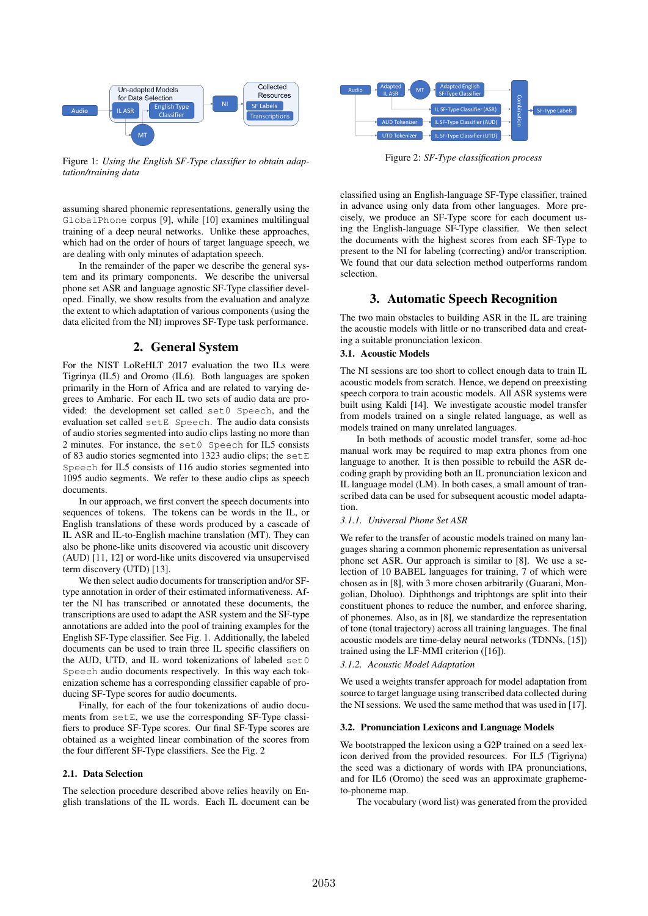

Figure 1: *Using the English SF-Type classifier to obtain adaptation/training data*

assuming shared phonemic representations, generally using the GlobalPhone corpus [9], while [10] examines multilingual training of a deep neural networks. Unlike these approaches, which had on the order of hours of target language speech, we are dealing with only minutes of adaptation speech.

In the remainder of the paper we describe the general system and its primary components. We describe the universal phone set ASR and language agnostic SF-Type classifier developed. Finally, we show results from the evaluation and analyze the extent to which adaptation of various components (using the data elicited from the NI) improves SF-Type task performance.

# 2. General System

For the NIST LoReHLT 2017 evaluation the two ILs were Tigrinya (IL5) and Oromo (IL6). Both languages are spoken primarily in the Horn of Africa and are related to varying degrees to Amharic. For each IL two sets of audio data are provided: the development set called set0 Speech, and the evaluation set called setE Speech. The audio data consists of audio stories segmented into audio clips lasting no more than 2 minutes. For instance, the set0 Speech for IL5 consists of 83 audio stories segmented into 1323 audio clips; the setE Speech for IL5 consists of 116 audio stories segmented into 1095 audio segments. We refer to these audio clips as speech documents.

In our approach, we first convert the speech documents into sequences of tokens. The tokens can be words in the IL, or English translations of these words produced by a cascade of IL ASR and IL-to-English machine translation (MT). They can also be phone-like units discovered via acoustic unit discovery (AUD) [11, 12] or word-like units discovered via unsupervised term discovery (UTD) [13].

We then select audio documents for transcription and/or SFtype annotation in order of their estimated informativeness. After the NI has transcribed or annotated these documents, the transcriptions are used to adapt the ASR system and the SF-type annotations are added into the pool of training examples for the English SF-Type classifier. See Fig. 1. Additionally, the labeled documents can be used to train three IL specific classifiers on the AUD, UTD, and IL word tokenizations of labeled set0 Speech audio documents respectively. In this way each tokenization scheme has a corresponding classifier capable of producing SF-Type scores for audio documents.

Finally, for each of the four tokenizations of audio documents from setE, we use the corresponding SF-Type classifiers to produce SF-Type scores. Our final SF-Type scores are obtained as a weighted linear combination of the scores from the four different SF-Type classifiers. See the Fig. 2

#### 2.1. Data Selection

The selection procedure described above relies heavily on English translations of the IL words. Each IL document can be



Figure 2: *SF-Type classification process*

classified using an English-language SF-Type classifier, trained in advance using only data from other languages. More precisely, we produce an SF-Type score for each document using the English-language SF-Type classifier. We then select the documents with the highest scores from each SF-Type to present to the NI for labeling (correcting) and/or transcription. We found that our data selection method outperforms random selection.

# 3. Automatic Speech Recognition

The two main obstacles to building ASR in the IL are training the acoustic models with little or no transcribed data and creating a suitable pronunciation lexicon.

### 3.1. Acoustic Models

The NI sessions are too short to collect enough data to train IL acoustic models from scratch. Hence, we depend on preexisting speech corpora to train acoustic models. All ASR systems were built using Kaldi [14]. We investigate acoustic model transfer from models trained on a single related language, as well as models trained on many unrelated languages.

In both methods of acoustic model transfer, some ad-hoc manual work may be required to map extra phones from one language to another. It is then possible to rebuild the ASR decoding graph by providing both an IL pronunciation lexicon and IL language model (LM). In both cases, a small amount of transcribed data can be used for subsequent acoustic model adaptation.

#### *3.1.1. Universal Phone Set ASR*

We refer to the transfer of acoustic models trained on many languages sharing a common phonemic representation as universal phone set ASR. Our approach is similar to [8]. We use a selection of 10 BABEL languages for training, 7 of which were chosen as in [8], with 3 more chosen arbitrarily (Guarani, Mongolian, Dholuo). Diphthongs and triphtongs are split into their constituent phones to reduce the number, and enforce sharing, of phonemes. Also, as in [8], we standardize the representation of tone (tonal trajectory) across all training languages. The final acoustic models are time-delay neural networks (TDNNs, [15]) trained using the LF-MMI criterion ([16]).

*3.1.2. Acoustic Model Adaptation*

We used a weights transfer approach for model adaptation from source to target language using transcribed data collected during the NI sessions. We used the same method that was used in [17].

#### 3.2. Pronunciation Lexicons and Language Models

We bootstrapped the lexicon using a G2P trained on a seed lexicon derived from the provided resources. For IL5 (Tigriyna) the seed was a dictionary of words with IPA pronunciations, and for IL6 (Oromo) the seed was an approximate graphemeto-phoneme map.

The vocabulary (word list) was generated from the provided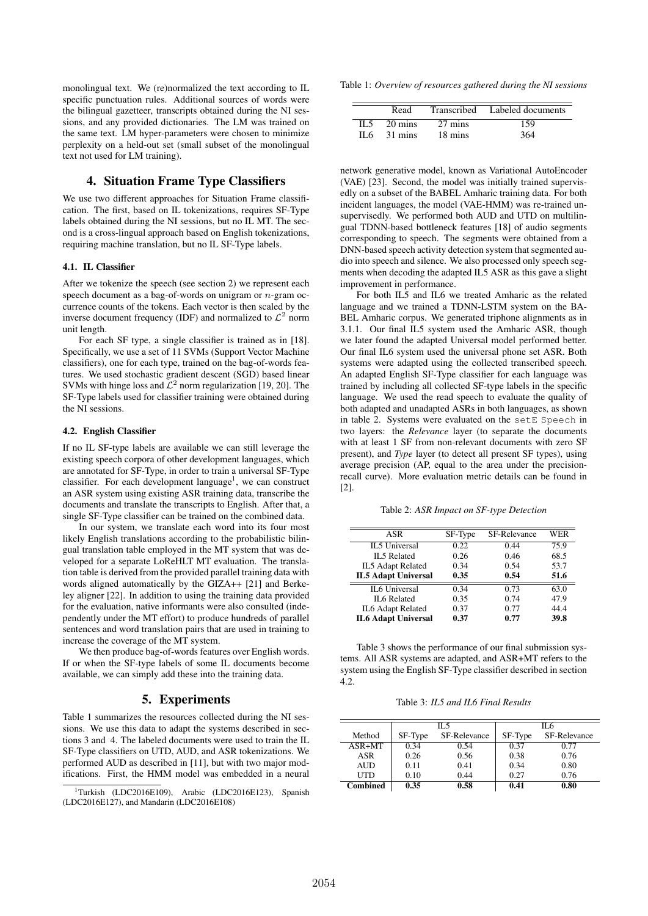monolingual text. We (re)normalized the text according to IL specific punctuation rules. Additional sources of words were the bilingual gazetteer, transcripts obtained during the NI sessions, and any provided dictionaries. The LM was trained on the same text. LM hyper-parameters were chosen to minimize perplexity on a held-out set (small subset of the monolingual text not used for LM training).

# 4. Situation Frame Type Classifiers

We use two different approaches for Situation Frame classification. The first, based on IL tokenizations, requires SF-Type labels obtained during the NI sessions, but no IL MT. The second is a cross-lingual approach based on English tokenizations, requiring machine translation, but no IL SF-Type labels.

## 4.1. IL Classifier

After we tokenize the speech (see section 2) we represent each speech document as a bag-of-words on unigram or  $n$ -gram occurrence counts of the tokens. Each vector is then scaled by the inverse document frequency (IDF) and normalized to  $\mathcal{L}^2$  norm unit length.

For each SF type, a single classifier is trained as in [18]. Specifically, we use a set of 11 SVMs (Support Vector Machine classifiers), one for each type, trained on the bag-of-words features. We used stochastic gradient descent (SGD) based linear SVMs with hinge loss and  $\mathcal{L}^2$  norm regularization [19, 20]. The SF-Type labels used for classifier training were obtained during the NI sessions.

#### 4.2. English Classifier

If no IL SF-type labels are available we can still leverage the existing speech corpora of other development languages, which are annotated for SF-Type, in order to train a universal SF-Type classifier. For each development language<sup>1</sup>, we can construct an ASR system using existing ASR training data, transcribe the documents and translate the transcripts to English. After that, a single SF-Type classifier can be trained on the combined data.

In our system, we translate each word into its four most likely English translations according to the probabilistic bilingual translation table employed in the MT system that was developed for a separate LoReHLT MT evaluation. The translation table is derived from the provided parallel training data with words aligned automatically by the GIZA++ [21] and Berkeley aligner [22]. In addition to using the training data provided for the evaluation, native informants were also consulted (independently under the MT effort) to produce hundreds of parallel sentences and word translation pairs that are used in training to increase the coverage of the MT system.

We then produce bag-of-words features over English words. If or when the SF-type labels of some IL documents become available, we can simply add these into the training data.

# 5. Experiments

Table 1 summarizes the resources collected during the NI sessions. We use this data to adapt the systems described in sections 3 and 4. The labeled documents were used to train the IL SF-Type classifiers on UTD, AUD, and ASR tokenizations. We performed AUD as described in [11], but with two major modifications. First, the HMM model was embedded in a neural

Table 1: *Overview of resources gathered during the NI sessions*

|       | Read    |         | Transcribed Labeled documents |
|-------|---------|---------|-------------------------------|
| IL 5  | 20 mins | 27 mins | 159                           |
| II 6. | 31 mins | 18 mins | 364                           |

network generative model, known as Variational AutoEncoder (VAE) [23]. Second, the model was initially trained supervisedly on a subset of the BABEL Amharic training data. For both incident languages, the model (VAE-HMM) was re-trained unsupervisedly. We performed both AUD and UTD on multilingual TDNN-based bottleneck features [18] of audio segments corresponding to speech. The segments were obtained from a DNN-based speech activity detection system that segmented audio into speech and silence. We also processed only speech segments when decoding the adapted IL5 ASR as this gave a slight improvement in performance.

For both IL5 and IL6 we treated Amharic as the related language and we trained a TDNN-LSTM system on the BA-BEL Amharic corpus. We generated triphone alignments as in 3.1.1. Our final IL5 system used the Amharic ASR, though we later found the adapted Universal model performed better. Our final IL6 system used the universal phone set ASR. Both systems were adapted using the collected transcribed speech. An adapted English SF-Type classifier for each language was trained by including all collected SF-type labels in the specific language. We used the read speech to evaluate the quality of both adapted and unadapted ASRs in both languages, as shown in table 2. Systems were evaluated on the setE Speech in two layers: the *Relevance* layer (to separate the documents with at least 1 SF from non-relevant documents with zero SF present), and *Type* layer (to detect all present SF types), using average precision (AP, equal to the area under the precisionrecall curve). More evaluation metric details can be found in [2].

Table 2: *ASR Impact on SF-type Detection*

| ASR                        | SF-Type | SF-Relevance | WER  |
|----------------------------|---------|--------------|------|
| IL5 Universal              | 0.22    | 0.44         | 75.9 |
| IL5 Related                | 0.26    | 0.46         | 68.5 |
| IL5 Adapt Related          | 0.34    | 0.54         | 53.7 |
| <b>IL5 Adapt Universal</b> | 0.35    | 0.54         | 51.6 |
| IL6 Universal              | 0.34    | 0.73         | 63.0 |
| IL6 Related                | 0.35    | 0.74         | 47.9 |
| IL6 Adapt Related          | 0.37    | 0.77         | 44.4 |
| <b>IL6 Adapt Universal</b> | 0.37    | 0.77         | 39.8 |

Table 3 shows the performance of our final submission systems. All ASR systems are adapted, and ASR+MT refers to the system using the English SF-Type classifier described in section 4.2.

Table 3: *IL5 and IL6 Final Results*

|                 | IL5     |              | IL 6    |              |
|-----------------|---------|--------------|---------|--------------|
| Method          | SF-Type | SF-Relevance | SF-Type | SF-Relevance |
| $ASR+MT$        | 0.34    | 0.54         | 0.37    | 0.77         |
| ASR             | 0.26    | 0.56         | 0.38    | 0.76         |
| <b>AUD</b>      | 0.11    | 0.41         | 0.34    | 0.80         |
| UTD             | 0.10    | 0.44         | 0.27    | 0.76         |
| <b>Combined</b> | 0.35    | 0.58         | 0.41    | 0.80         |

<sup>&</sup>lt;sup>1</sup>Turkish (LDC2016E109), Arabic (LDC2016E123), Spanish (LDC2016E127), and Mandarin (LDC2016E108)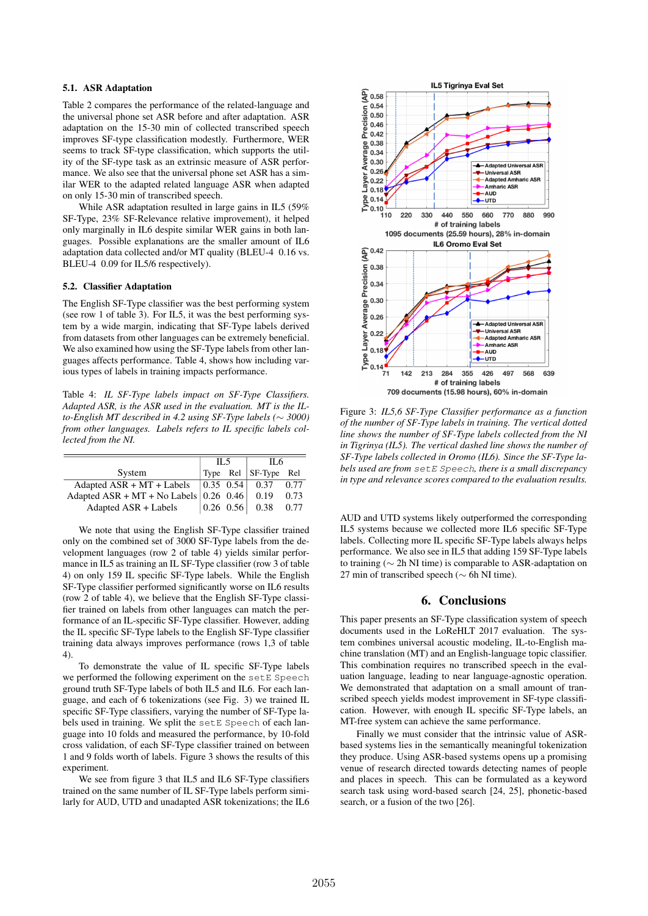# 5.1. ASR Adaptation

Table 2 compares the performance of the related-language and the universal phone set ASR before and after adaptation. ASR adaptation on the 15-30 min of collected transcribed speech improves SF-type classification modestly. Furthermore, WER seems to track SF-type classification, which supports the utility of the SF-type task as an extrinsic measure of ASR performance. We also see that the universal phone set ASR has a similar WER to the adapted related language ASR when adapted on only 15-30 min of transcribed speech.

While ASR adaptation resulted in large gains in IL5 (59% SF-Type, 23% SF-Relevance relative improvement), it helped only marginally in IL6 despite similar WER gains in both languages. Possible explanations are the smaller amount of IL6 adaptation data collected and/or MT quality (BLEU-4 0.16 vs. BLEU-4 0.09 for IL5/6 respectively).

### 5.2. Classifier Adaptation

The English SF-Type classifier was the best performing system (see row 1 of table 3). For IL5, it was the best performing system by a wide margin, indicating that SF-Type labels derived from datasets from other languages can be extremely beneficial. We also examined how using the SF-Type labels from other languages affects performance. Table 4, shows how including various types of labels in training impacts performance.

Table 4: *IL SF-Type labels impact on SF-Type Classifiers. Adapted ASR, is the ASR used in the evaluation. MT is the ILto-English MT described in 4.2 using SF-Type labels (*∼ *3000) from other languages. Labels refers to IL specific labels collected from the NI.*

|                                                                 | IL 5 |  | IL 6                                                                          |      |
|-----------------------------------------------------------------|------|--|-------------------------------------------------------------------------------|------|
| System                                                          |      |  | $\vert$ Type Rel $\vert$ SF-Type Rel                                          |      |
|                                                                 |      |  |                                                                               |      |
| Adapted ASR + MT + No Labels $\vert 0.26 \, 0.46 \vert \, 0.19$ |      |  |                                                                               | 0.73 |
| Adapted ASR + Labels                                            |      |  | $\begin{array}{ c c c c c c } \hline 0.26 & 0.56 & 0.38 \\\hline \end{array}$ | 0.77 |

We note that using the English SF-Type classifier trained only on the combined set of 3000 SF-Type labels from the development languages (row 2 of table 4) yields similar performance in IL5 as training an IL SF-Type classifier (row 3 of table 4) on only 159 IL specific SF-Type labels. While the English SF-Type classifier performed significantly worse on IL6 results (row 2 of table 4), we believe that the English SF-Type classifier trained on labels from other languages can match the performance of an IL-specific SF-Type classifier. However, adding the IL specific SF-Type labels to the English SF-Type classifier training data always improves performance (rows 1,3 of table 4).

To demonstrate the value of IL specific SF-Type labels we performed the following experiment on the setE Speech ground truth SF-Type labels of both IL5 and IL6. For each language, and each of 6 tokenizations (see Fig. 3) we trained IL specific SF-Type classifiers, varying the number of SF-Type labels used in training. We split the setE Speech of each language into 10 folds and measured the performance, by 10-fold cross validation, of each SF-Type classifier trained on between 1 and 9 folds worth of labels. Figure 3 shows the results of this experiment.

We see from figure 3 that IL5 and IL6 SF-Type classifiers trained on the same number of IL SF-Type labels perform similarly for AUD, UTD and unadapted ASR tokenizations; the IL6



Figure 3: *IL5,6 SF-Type Classifier performance as a function of the number of SF-Type labels in training. The vertical dotted line shows the number of SF-Type labels collected from the NI in Tigrinya (IL5). The vertical dashed line shows the number of SF-Type labels collected in Oromo (IL6). Since the SF-Type labels used are from* setE Speech*, there is a small discrepancy in type and relevance scores compared to the evaluation results.*

AUD and UTD systems likely outperformed the corresponding IL5 systems because we collected more IL6 specific SF-Type labels. Collecting more IL specific SF-Type labels always helps performance. We also see in IL5 that adding 159 SF-Type labels to training (∼ 2h NI time) is comparable to ASR-adaptation on 27 min of transcribed speech (∼ 6h NI time).

### 6. Conclusions

This paper presents an SF-Type classification system of speech documents used in the LoReHLT 2017 evaluation. The system combines universal acoustic modeling, IL-to-English machine translation (MT) and an English-language topic classifier. This combination requires no transcribed speech in the evaluation language, leading to near language-agnostic operation. We demonstrated that adaptation on a small amount of transcribed speech yields modest improvement in SF-type classification. However, with enough IL specific SF-Type labels, an MT-free system can achieve the same performance.

Finally we must consider that the intrinsic value of ASRbased systems lies in the semantically meaningful tokenization they produce. Using ASR-based systems opens up a promising venue of research directed towards detecting names of people and places in speech. This can be formulated as a keyword search task using word-based search [24, 25], phonetic-based search, or a fusion of the two [26].